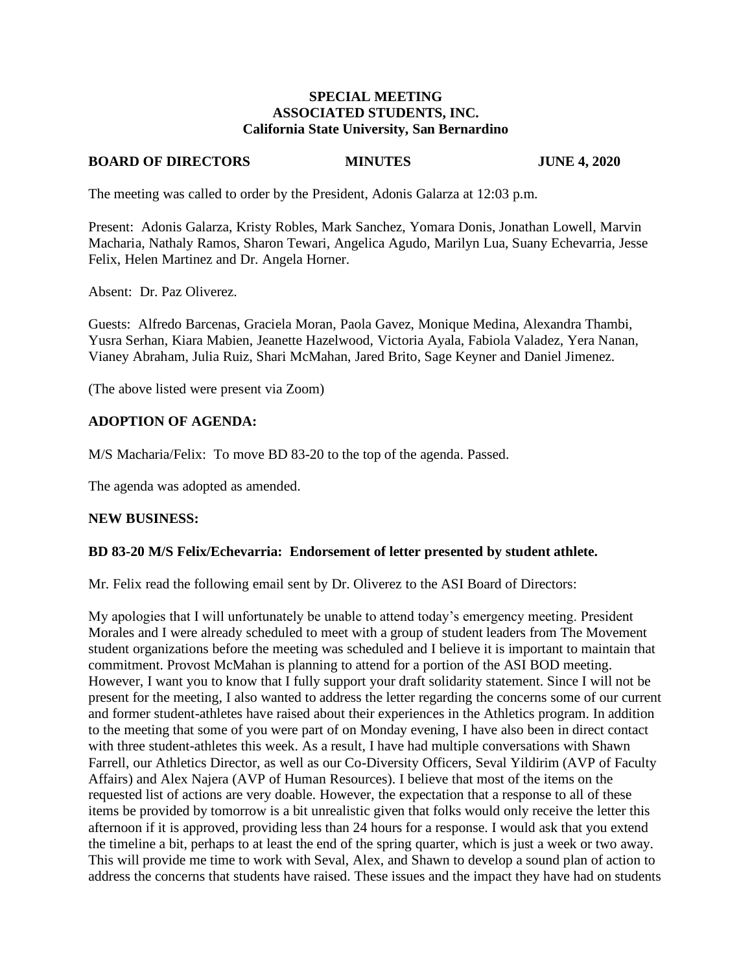### **SPECIAL MEETING ASSOCIATED STUDENTS, INC. California State University, San Bernardino**

## **BOARD OF DIRECTORS MINUTES JUNE 4, 2020**

The meeting was called to order by the President, Adonis Galarza at 12:03 p.m.

Present: Adonis Galarza, Kristy Robles, Mark Sanchez, Yomara Donis, Jonathan Lowell, Marvin Macharia, Nathaly Ramos, Sharon Tewari, Angelica Agudo, Marilyn Lua, Suany Echevarria, Jesse Felix, Helen Martinez and Dr. Angela Horner.

Absent: Dr. Paz Oliverez.

Guests: Alfredo Barcenas, Graciela Moran, Paola Gavez, Monique Medina, Alexandra Thambi, Yusra Serhan, Kiara Mabien, Jeanette Hazelwood, Victoria Ayala, Fabiola Valadez, Yera Nanan, Vianey Abraham, Julia Ruiz, Shari McMahan, Jared Brito, Sage Keyner and Daniel Jimenez.

(The above listed were present via Zoom)

## **ADOPTION OF AGENDA:**

M/S Macharia/Felix: To move BD 83-20 to the top of the agenda. Passed.

The agenda was adopted as amended.

#### **NEW BUSINESS:**

#### **BD 83-20 M/S Felix/Echevarria: Endorsement of letter presented by student athlete.**

Mr. Felix read the following email sent by Dr. Oliverez to the ASI Board of Directors:

My apologies that I will unfortunately be unable to attend today's emergency meeting. President Morales and I were already scheduled to meet with a group of student leaders from The Movement student organizations before the meeting was scheduled and I believe it is important to maintain that commitment. Provost McMahan is planning to attend for a portion of the ASI BOD meeting. However, I want you to know that I fully support your draft solidarity statement. Since I will not be present for the meeting, I also wanted to address the letter regarding the concerns some of our current and former student-athletes have raised about their experiences in the Athletics program. In addition to the meeting that some of you were part of on Monday evening, I have also been in direct contact with three student-athletes this week. As a result, I have had multiple conversations with Shawn Farrell, our Athletics Director, as well as our Co-Diversity Officers, Seval Yildirim (AVP of Faculty Affairs) and Alex Najera (AVP of Human Resources). I believe that most of the items on the requested list of actions are very doable. However, the expectation that a response to all of these items be provided by tomorrow is a bit unrealistic given that folks would only receive the letter this afternoon if it is approved, providing less than 24 hours for a response. I would ask that you extend the timeline a bit, perhaps to at least the end of the spring quarter, which is just a week or two away. This will provide me time to work with Seval, Alex, and Shawn to develop a sound plan of action to address the concerns that students have raised. These issues and the impact they have had on students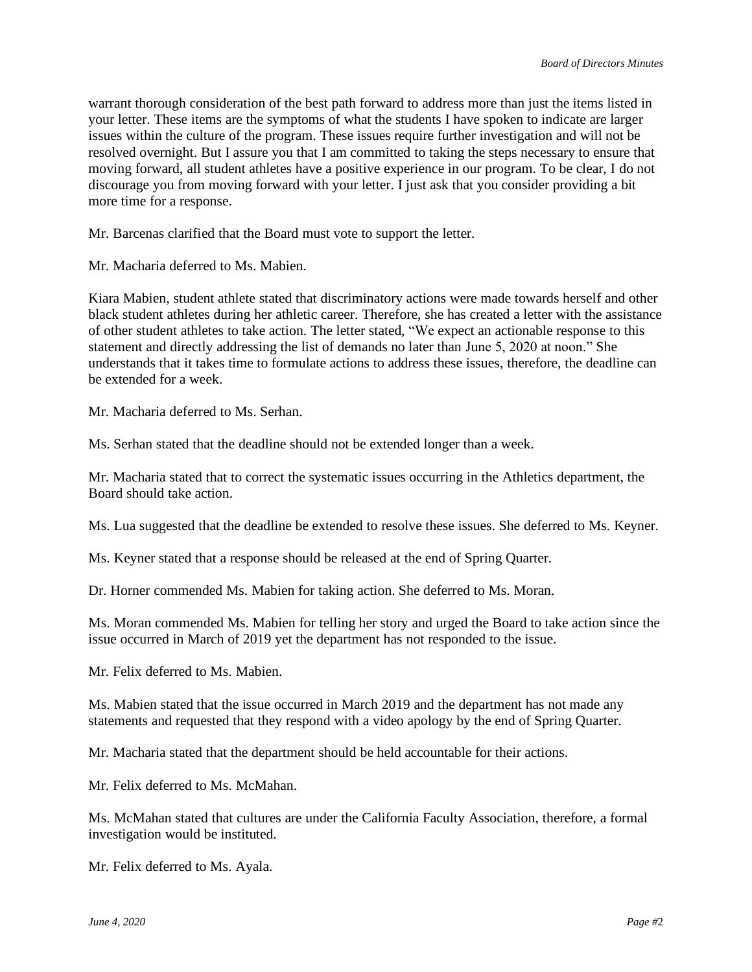warrant thorough consideration of the best path forward to address more than just the items listed in your letter. These items are the symptoms of what the students I have spoken to indicate are larger issues within the culture of the program. These issues require further investigation and will not be resolved overnight. But I assure you that I am committed to taking the steps necessary to ensure that moving forward, all student athletes have a positive experience in our program. To be clear, I do not discourage you from moving forward with your letter. I just ask that you consider providing a bit more time for a response.

Mr. Barcenas clarified that the Board must vote to support the letter.

Mr. Macharia deferred to Ms. Mabien.

Kiara Mabien, student athlete stated that discriminatory actions were made towards herself and other black student athletes during her athletic career. Therefore, she has created a letter with the assistance of other student athletes to take action. The letter stated, "We expect an actionable response to this statement and directly addressing the list of demands no later than June 5, 2020 at noon." She understands that it takes time to formulate actions to address these issues, therefore, the deadline can be extended for a week.

Mr. Macharia deferred to Ms. Serhan.

Ms. Serhan stated that the deadline should not be extended longer than a week.

Mr. Macharia stated that to correct the systematic issues occurring in the Athletics department, the Board should take action.

Ms. Lua suggested that the deadline be extended to resolve these issues. She deferred to Ms. Keyner.

Ms. Keyner stated that a response should be released at the end of Spring Quarter.

Dr. Horner commended Ms. Mabien for taking action. She deferred to Ms. Moran.

Ms. Moran commended Ms. Mabien for telling her story and urged the Board to take action since the issue occurred in March of 2019 yet the department has not responded to the issue.

Mr. Felix deferred to Ms. Mabien.

Ms. Mabien stated that the issue occurred in March 2019 and the department has not made any statements and requested that they respond with a video apology by the end of Spring Quarter.

Mr. Macharia stated that the department should be held accountable for their actions.

Mr. Felix deferred to Ms. McMahan.

Ms. McMahan stated that cultures are under the California Faculty Association, therefore, a formal investigation would be instituted.

Mr. Felix deferred to Ms. Ayala.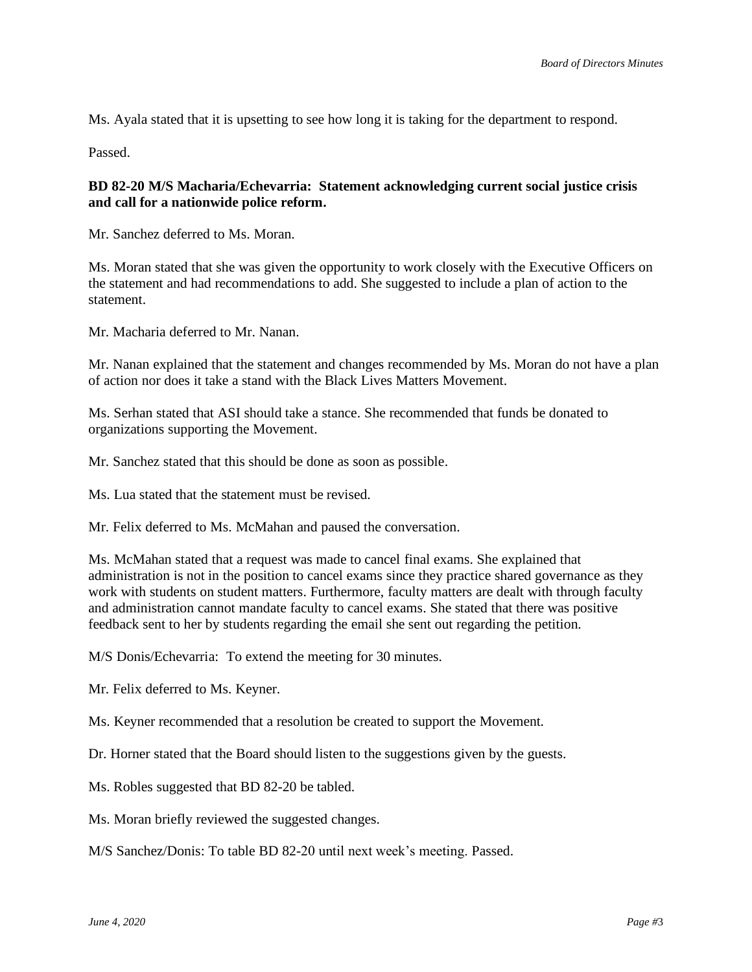Ms. Ayala stated that it is upsetting to see how long it is taking for the department to respond.

Passed.

## **BD 82-20 M/S Macharia/Echevarria: Statement acknowledging current social justice crisis and call for a nationwide police reform.**

Mr. Sanchez deferred to Ms. Moran.

Ms. Moran stated that she was given the opportunity to work closely with the Executive Officers on the statement and had recommendations to add. She suggested to include a plan of action to the statement.

Mr. Macharia deferred to Mr. Nanan.

Mr. Nanan explained that the statement and changes recommended by Ms. Moran do not have a plan of action nor does it take a stand with the Black Lives Matters Movement.

Ms. Serhan stated that ASI should take a stance. She recommended that funds be donated to organizations supporting the Movement.

Mr. Sanchez stated that this should be done as soon as possible.

Ms. Lua stated that the statement must be revised.

Mr. Felix deferred to Ms. McMahan and paused the conversation.

Ms. McMahan stated that a request was made to cancel final exams. She explained that administration is not in the position to cancel exams since they practice shared governance as they work with students on student matters. Furthermore, faculty matters are dealt with through faculty and administration cannot mandate faculty to cancel exams. She stated that there was positive feedback sent to her by students regarding the email she sent out regarding the petition.

M/S Donis/Echevarria: To extend the meeting for 30 minutes.

Mr. Felix deferred to Ms. Keyner.

Ms. Keyner recommended that a resolution be created to support the Movement.

Dr. Horner stated that the Board should listen to the suggestions given by the guests.

Ms. Robles suggested that BD 82-20 be tabled.

Ms. Moran briefly reviewed the suggested changes.

M/S Sanchez/Donis: To table BD 82-20 until next week's meeting. Passed.